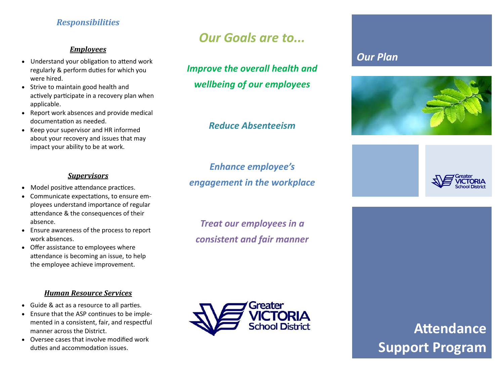# *Responsibilities*

#### *Employees*

- Understand your obligation to attend work regularly & perform duties for which you were hired.
- Strive to maintain good health and actively participate in a recovery plan when applicable.
- Report work absences and provide medical documentation as needed.
- Keep your supervisor and HR informed about your recovery and issues that may impact your ability to be at work.

#### *Supervisors*

- Model positive attendance practices.
- Communicate expectations, to ensure employees understand importance of regular attendance & the consequences of their absence.
- Ensure awareness of the process to report work absences.
- Offer assistance to employees where attendance is becoming an issue, to help the employee achieve improvement.

#### *Human Resource Services*

- Guide & act as a resource to all parties.
- Ensure that the ASP continues to be implemented in a consistent, fair, and respectful manner across the District.
- Oversee cases that involve modified work duties and accommodation issues.

# *Our Goals are to...*

*Improve the overall health and wellbeing of our employees*

# *Reduce Absenteeism*

# *Enhance employee's engagement in the workplace*

*Treat our employees in a consistent and fair manner*



# *Our Plan*





**Attendance Support Program**